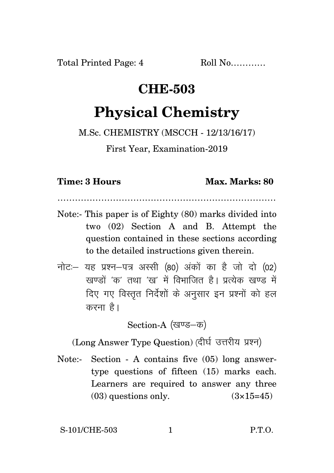## **CHE-503**

## **Physical Chemistry**

M.Sc. CHEMISTRY (MSCCH - 12/13/16/17)

First Year, Examination-2019

**Time: 3 Hours Max. Marks: 80** 

…………………………………………………………………

- Note:- This paper is of Eighty (80) marks divided into two (02) Section A and B. Attempt the question contained in these sections according to the detailed instructions given therein.
- $\vec{\eta}$ नोटः यह प्रश्न-पत्र अस्सी (80) अंकों का है जो दो (02) .<br>रवण्डों 'क' तथा 'ख' में विभाजित है। प्रत्येक खण्ड में दिए गए विस्तृत निर्देशों के अनुसार इन प्रश्नों को हल करना $\hat{\epsilon}$ ।

Section-A (खण्ड-क)

(Long Answer Type Question) (दीर्घ उत्तरीय प्रश्न)

Note:- Section - A contains five (05) long answertype questions of fifteen (15) marks each. Learners are required to answer any three  $(03)$  questions only.  $(3\times15=45)$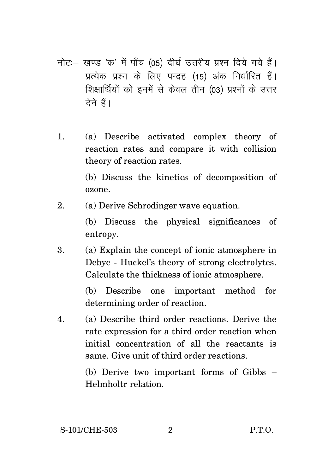- नोट: खण्ड 'क' में पाँच (05) दीर्घ उत्तरीय प्रश्न दिये गये हैं। प्रत्येक प्रश्न के लिए पन्द्रह (15) अंक निर्धारित हैं। शिक्षार्थियों को इनमें से केवल तीन (03) प्रश्नों के उत्तर  $\vec{a}$ ने हैं।
- 1. (a) Describe activated complex theory of reaction rates and compare it with collision theory of reaction rates.

(b) Discuss the kinetics of decomposition of ozone.

2. (a) Derive Schrodinger wave equation.

(b) Discuss the physical significances of entropy.

3. (a) Explain the concept of ionic atmosphere in Debye - Huckel's theory of strong electrolytes. Calculate the thickness of ionic atmosphere.

> (b) Describe one important method for determining order of reaction.

4. (a) Describe third order reactions. Derive the rate expression for a third order reaction when initial concentration of all the reactants is same. Give unit of third order reactions.

> (b) Derive two important forms of Gibbs – Helmholtr relation.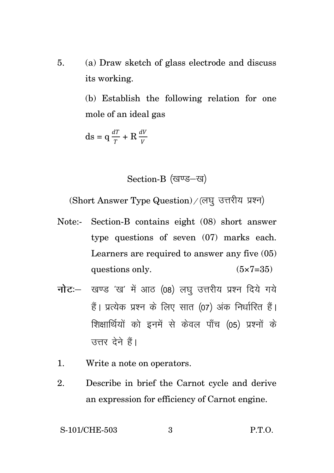5. (a) Draw sketch of glass electrode and discuss its working.

> (b) Establish the following relation for one mole of an ideal gas

 $ds = q \frac{dT}{T} + R \frac{dV}{V}$ 

Section-B (खण्ड-ख)

(Short Answer Type Question) / (लघु उत्तरीय प्रश्न)

- Note:- Section-B contains eight (08) short answer type questions of seven (07) marks each. Learners are required to answer any five (05) questions only.  $(5 \times 7 = 35)$
- **नोट**: खण्ड 'ख' में आठ (08) लघ उत्तरीय प्रश्न दिये गये हैं। प्रत्येक प्रश्न के लिए सात (07) अंक निर्धारित हैं। शिक्षार्थियों को इनमें से केवल पाँच (05) प्रश्नों के उत्तर देने हैं।
- 1. Write a note on operators.
- 2. Describe in brief the Carnot cycle and derive an expression for efficiency of Carnot engine.

S-101/CHE-503 3 P.T.O.